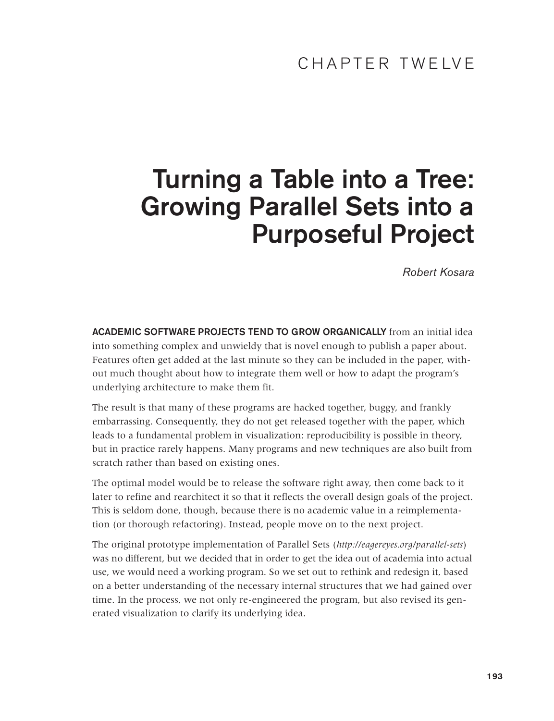# Turning a Table into a Tree: Growing Parallel Sets into a Purposeful Project

*Robert Kosara*

Academic software projects tend to grow organically from an initial idea into something complex and unwieldy that is novel enough to publish a paper about. Features often get added at the last minute so they can be included in the paper, without much thought about how to integrate them well or how to adapt the program's underlying architecture to make them fit.

The result is that many of these programs are hacked together, buggy, and frankly embarrassing. Consequently, they do not get released together with the paper, which leads to a fundamental problem in visualization: reproducibility is possible in theory, but in practice rarely happens. Many programs and new techniques are also built from scratch rather than based on existing ones.

The optimal model would be to release the software right away, then come back to it later to refine and rearchitect it so that it reflects the overall design goals of the project. This is seldom done, though, because there is no academic value in a reimplementation (or thorough refactoring). Instead, people move on to the next project.

The original prototype implementation of Parallel Sets (*<http://eagereyes.org/parallel-sets>*) was no different, but we decided that in order to get the idea out of academia into actual use, we would need a working program. So we set out to rethink and redesign it, based on a better understanding of the necessary internal structures that we had gained over time. In the process, we not only re-engineered the program, but also revised its generated visualization to clarify its underlying idea.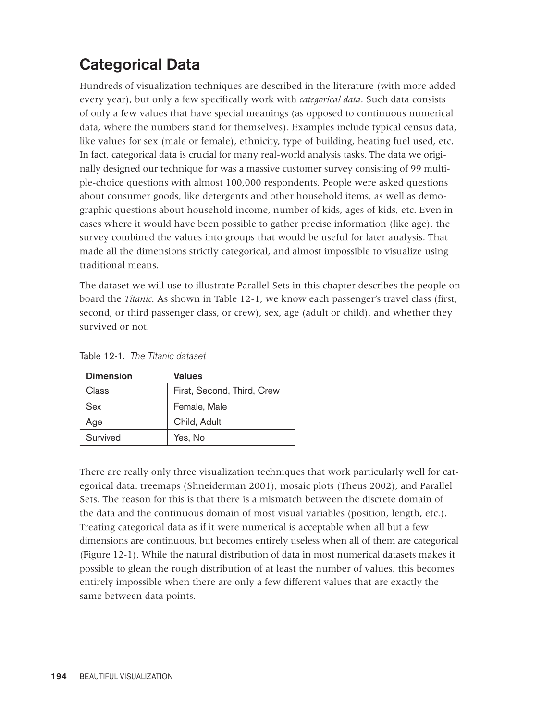# Categorical Data

Hundreds of visualization techniques are described in the literature (with more added every year), but only a few specifically work with *categorical data*. Such data consists of only a few values that have special meanings (as opposed to continuous numerical data, where the numbers stand for themselves). Examples include typical census data, like values for sex (male or female), ethnicity, type of building, heating fuel used, etc. In fact, categorical data is crucial for many real-world analysis tasks. The data we originally designed our technique for was a massive customer survey consisting of 99 multiple-choice questions with almost 100,000 respondents. People were asked questions about consumer goods, like detergents and other household items, as well as demographic questions about household income, number of kids, ages of kids, etc. Even in cases where it would have been possible to gather precise information (like age), the survey combined the values into groups that would be useful for later analysis. That made all the dimensions strictly categorical, and almost impossible to visualize using traditional means.

The dataset we will use to illustrate Parallel Sets in this chapter describes the people on board the *Titanic*. As shown in [Table 12-1](#page-1-0), we know each passenger's travel class (first, second, or third passenger class, or crew), sex, age (adult or child), and whether they survived or not.

| <b>Dimension</b> | Values                     |
|------------------|----------------------------|
| Class            | First, Second, Third, Crew |
| Sex              | Female, Male               |
| Age              | Child, Adult               |
| Survived         | Yes, No                    |

<span id="page-1-0"></span>Table 12-1. The Titanic dataset

There are really only three visualization techniques that work particularly well for categorical data: treemaps (Shneiderman 2001), mosaic plots (Theus 2002), and Parallel Sets. The reason for this is that there is a mismatch between the discrete domain of the data and the continuous domain of most visual variables (position, length, etc.). Treating categorical data as if it were numerical is acceptable when all but a few dimensions are continuous, but becomes entirely useless when all of them are categorical [\(Figure 12-1](#page-2-0)). While the natural distribution of data in most numerical datasets makes it possible to glean the rough distribution of at least the number of values, this becomes entirely impossible when there are only a few different values that are exactly the same between data points.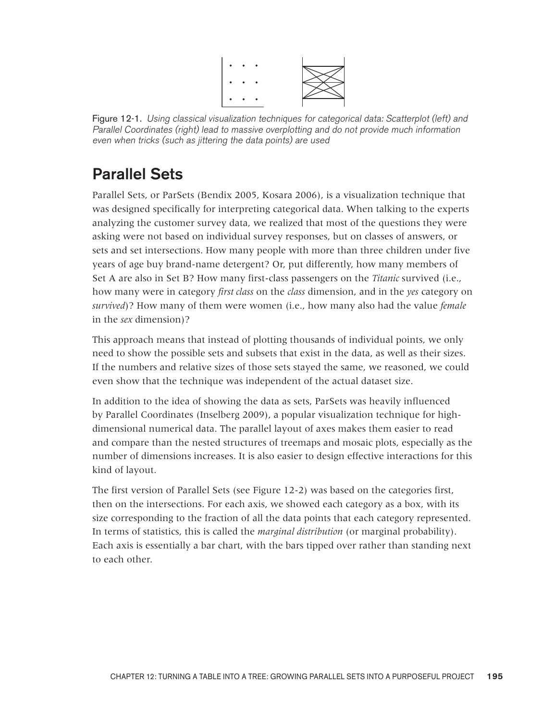

Figure 12-1. Using classical visualization techniques for categorical data: Scatterplot (left) and Parallel Coordinates (right) lead to massive overplotting and do not provide much information even when tricks (such as jittering the data points) are used

#### <span id="page-2-0"></span>Parallel Sets

Parallel Sets, or ParSets (Bendix 2005, Kosara 2006), is a visualization technique that was designed specifically for interpreting categorical data. When talking to the experts analyzing the customer survey data, we realized that most of the questions they were asking were not based on individual survey responses, but on classes of answers, or sets and set intersections. How many people with more than three children under five years of age buy brand-name detergent? Or, put differently, how many members of Set A are also in Set B? How many first-class passengers on the *Titanic* survived (i.e., how many were in category *first class* on the *class* dimension, and in the *yes* category on *survived*)? How many of them were women (i.e., how many also had the value *female* in the *sex* dimension)?

This approach means that instead of plotting thousands of individual points, we only need to show the possible sets and subsets that exist in the data, as well as their sizes. If the numbers and relative sizes of those sets stayed the same, we reasoned, we could even show that the technique was independent of the actual dataset size.

In addition to the idea of showing the data as sets, ParSets was heavily influenced by Parallel Coordinates (Inselberg 2009), a popular visualization technique for highdimensional numerical data. The parallel layout of axes makes them easier to read and compare than the nested structures of treemaps and mosaic plots, especially as the number of dimensions increases. It is also easier to design effective interactions for this kind of layout.

The first version of Parallel Sets (see [Figure 12-2\)](#page-3-0) was based on the categories first, then on the intersections. For each axis, we showed each category as a box, with its size corresponding to the fraction of all the data points that each category represented. In terms of statistics, this is called the *marginal distribution* (or marginal probability). Each axis is essentially a bar chart, with the bars tipped over rather than standing next to each other.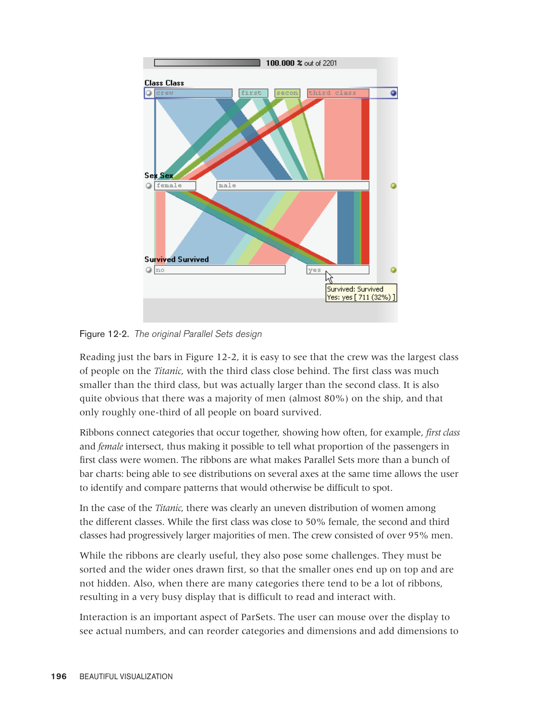

<span id="page-3-0"></span>Figure 12-2. The original Parallel Sets design

Reading just the bars in [Figure 12-2](#page-3-0), it is easy to see that the crew was the largest class of people on the *Titanic*, with the third class close behind. The first class was much smaller than the third class, but was actually larger than the second class. It is also quite obvious that there was a majority of men (almost  $80\%$ ) on the ship, and that only roughly one-third of all people on board survived.

Ribbons connect categories that occur together, showing how often, for example, *first class* and *female* intersect, thus making it possible to tell what proportion of the passengers in first class were women. The ribbons are what makes Parallel Sets more than a bunch of bar charts: being able to see distributions on several axes at the same time allows the user to identify and compare patterns that would otherwise be difficult to spot.

In the case of the *Titanic*, there was clearly an uneven distribution of women among the different classes. While the first class was close to 50% female, the second and third classes had progressively larger majorities of men. The crew consisted of over 95% men.

While the ribbons are clearly useful, they also pose some challenges. They must be sorted and the wider ones drawn first, so that the smaller ones end up on top and are not hidden. Also, when there are many categories there tend to be a lot of ribbons, resulting in a very busy display that is difficult to read and interact with.

Interaction is an important aspect of ParSets. The user can mouse over the display to see actual numbers, and can reorder categories and dimensions and add dimensions to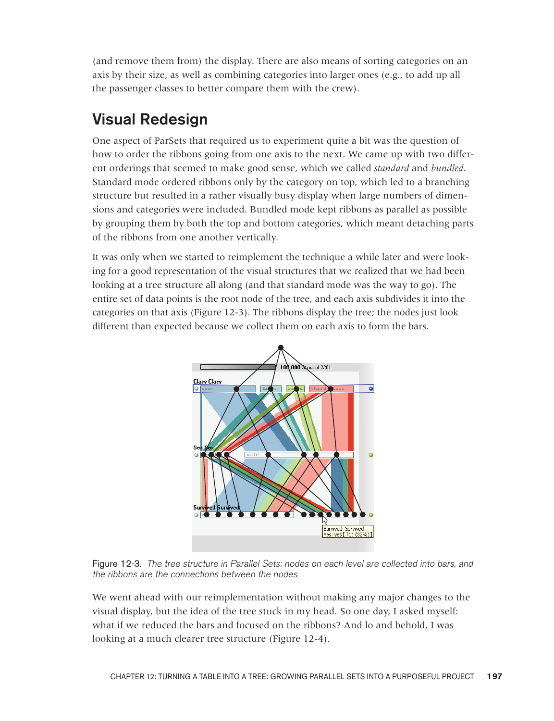(and remove them from) the display. There are also means of sorting categories on an axis by their size, as well as combining categories into larger ones (e.g., to add up all the passenger classes to better compare them with the crew).

## Visual Redesign

One aspect of ParSets that required us to experiment quite a bit was the question of how to order the ribbons going from one axis to the next. We came up with two different orderings that seemed to make good sense, which we called *standard* and *bundled*. Standard mode ordered ribbons only by the category on top, which led to a branching structure but resulted in a rather visually busy display when large numbers of dimensions and categories were included. Bundled mode kept ribbons as parallel as possible by grouping them by both the top and bottom categories, which meant detaching parts of the ribbons from one another vertically.

It was only when we started to reimplement the technique a while later and were looking for a good representation of the visual structures that we realized that we had been looking at a tree structure all along (and that standard mode was the way to go). The entire set of data points is the root node of the tree, and each axis subdivides it into the categories on that axis ([Figure 12-3\)](#page-4-0). The ribbons display the tree; the nodes just look different than expected because we collect them on each axis to form the bars.



<span id="page-4-0"></span>Figure 12-3. The tree structure in Parallel Sets: nodes on each level are collected into bars, and the ribbons are the connections between the nodes

We went ahead with our reimplementation without making any major changes to the visual display, but the idea of the tree stuck in my head. So one day, I asked myself: what if we reduced the bars and focused on the ribbons? And lo and behold, I was looking at a much clearer tree structure ([Figure 12-4](#page-5-0)).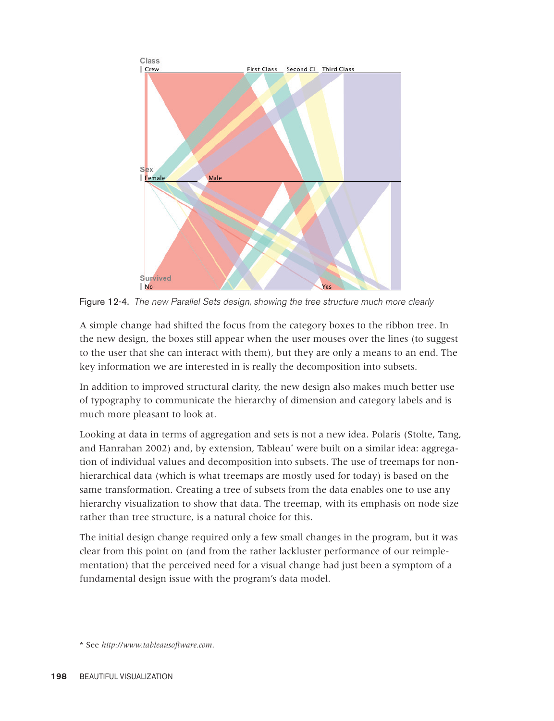

<span id="page-5-0"></span>Figure 12-4. The new Parallel Sets design, showing the tree structure much more clearly

A simple change had shifted the focus from the category boxes to the ribbon tree. In the new design, the boxes still appear when the user mouses over the lines (to suggest to the user that she can interact with them), but they are only a means to an end. The key information we are interested in is really the decomposition into subsets.

In addition to improved structural clarity, the new design also makes much better use of typography to communicate the hierarchy of dimension and category labels and is much more pleasant to look at.

Looking at data in terms of aggregation and sets is not a new idea. Polaris (Stolte, Tang, and Hanrahan 2002) and, by extension, Tableau\* were built on a similar idea: aggregation of individual values and decomposition into subsets. The use of treemaps for nonhierarchical data (which is what treemaps are mostly used for today) is based on the same transformation. Creating a tree of subsets from the data enables one to use any hierarchy visualization to show that data. The treemap, with its emphasis on node size rather than tree structure, is a natural choice for this.

The initial design change required only a few small changes in the program, but it was clear from this point on (and from the rather lackluster performance of our reimplementation) that the perceived need for a visual change had just been a symptom of a fundamental design issue with the program's data model.

<sup>\*</sup> See *<http://www.tableausoftware.com>*.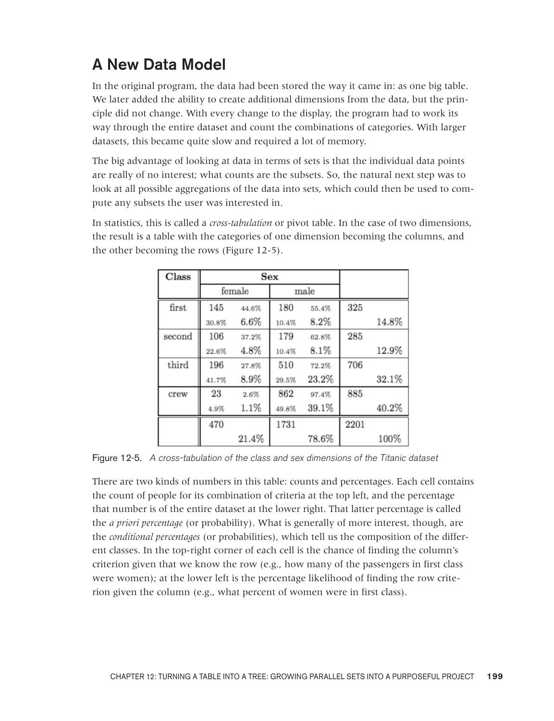# A New Data Model

In the original program, the data had been stored the way it came in: as one big table. We later added the ability to create additional dimensions from the data, but the principle did not change. With every change to the display, the program had to work its way through the entire dataset and count the combinations of categories. With larger datasets, this became quite slow and required a lot of memory.

The big advantage of looking at data in terms of sets is that the individual data points are really of no interest; what counts are the subsets. So, the natural next step was to look at all possible aggregations of the data into sets, which could then be used to compute any subsets the user was interested in.

In statistics, this is called a *cross-tabulation* or pivot table. In the case of two dimensions, the result is a table with the categories of one dimension becoming the columns, and the other becoming the rows ([Figure 12-5\)](#page-6-0).

| <b>Class</b> | <b>Sex</b> |       |       |       |      |       |
|--------------|------------|-------|-------|-------|------|-------|
|              | female     |       | male  |       |      |       |
| first        | 145        | 44.6% | 180   | 55.4% | 325  |       |
|              | 30.8%      | 6.6%  | 10.4% | 8.2%  |      | 14.8% |
| second       | 106        | 37.2% | 179   | 62.8% | 285  |       |
|              | 22.6%      | 4.8%  | 10.4% | 8.1%  |      | 12.9% |
| third        | 196        | 27.8% | 510   | 72.2% | 706  |       |
|              | 41.7%      | 8.9%  | 29.5% | 23.2% |      | 32.1% |
| crew         | 23         | 2.6%  | 862   | 97.4% | 885  |       |
|              | 4.9%       | 1.1%  | 49.8% | 39.1% |      | 40.2% |
|              | 470        |       | 1731  |       | 2201 |       |
|              |            | 21.4% |       | 78.6% |      | 100%  |

<span id="page-6-0"></span>Figure 12-5. A cross-tabulation of the class and sex dimensions of the Titanic dataset

There are two kinds of numbers in this table: counts and percentages. Each cell contains the count of people for its combination of criteria at the top left, and the percentage that number is of the entire dataset at the lower right. That latter percentage is called the *a priori percentage* (or probability). What is generally of more interest, though, are the *conditional percentages* (or probabilities), which tell us the composition of the different classes. In the top-right corner of each cell is the chance of finding the column's criterion given that we know the row (e.g., how many of the passengers in first class were women); at the lower left is the percentage likelihood of finding the row criterion given the column (e.g., what percent of women were in first class).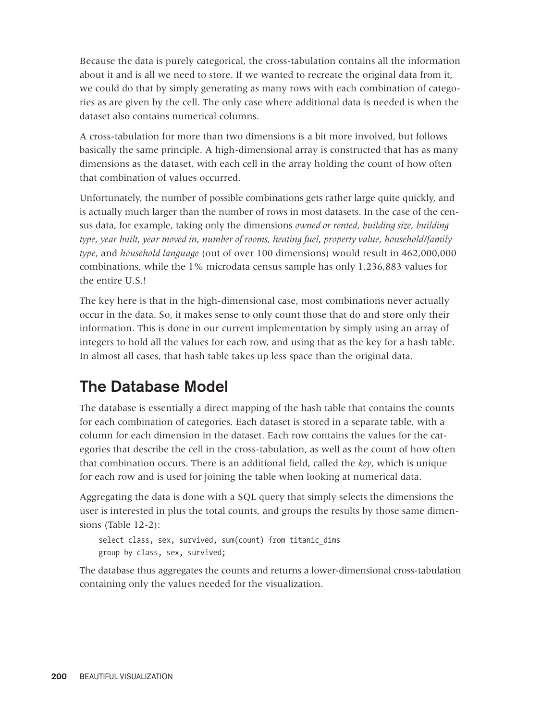Because the data is purely categorical, the cross-tabulation contains all the information about it and is all we need to store. If we wanted to recreate the original data from it, we could do that by simply generating as many rows with each combination of categories as are given by the cell. The only case where additional data is needed is when the dataset also contains numerical columns.

A cross-tabulation for more than two dimensions is a bit more involved, but follows basically the same principle. A high-dimensional array is constructed that has as many dimensions as the dataset, with each cell in the array holding the count of how often that combination of values occurred.

Unfortunately, the number of possible combinations gets rather large quite quickly, and is actually much larger than the number of rows in most datasets. In the case of the census data, for example, taking only the dimensions *owned or rented*, *building size*, *building type*, *year built*, *year moved in*, *number of rooms*, *heating fuel*, *property value*, *household/family type*, and *household language* (out of over 100 dimensions) would result in 462,000,000 combinations, while the 1% microdata census sample has only 1,236,883 values for the entire U.S.!

The key here is that in the high-dimensional case, most combinations never actually occur in the data. So, it makes sense to only count those that do and store only their information. This is done in our current implementation by simply using an array of integers to hold all the values for each row, and using that as the key for a hash table. In almost all cases, that hash table takes up less space than the original data.

# The Database Model

The database is essentially a direct mapping of the hash table that contains the counts for each combination of categories. Each dataset is stored in a separate table, with a column for each dimension in the dataset. Each row contains the values for the categories that describe the cell in the cross-tabulation, as well as the count of how often that combination occurs. There is an additional field, called the *key*, which is unique for each row and is used for joining the table when looking at numerical data.

Aggregating the data is done with a SQL query that simply selects the dimensions the user is interested in plus the total counts, and groups the results by those same dimensions ([Table 12-2\)](#page-8-0):

```
select class, sex, survived, sum(count) from titanic dims
group by class, sex, survived;
```
The database thus aggregates the counts and returns a lower-dimensional cross-tabulation containing only the values needed for the visualization.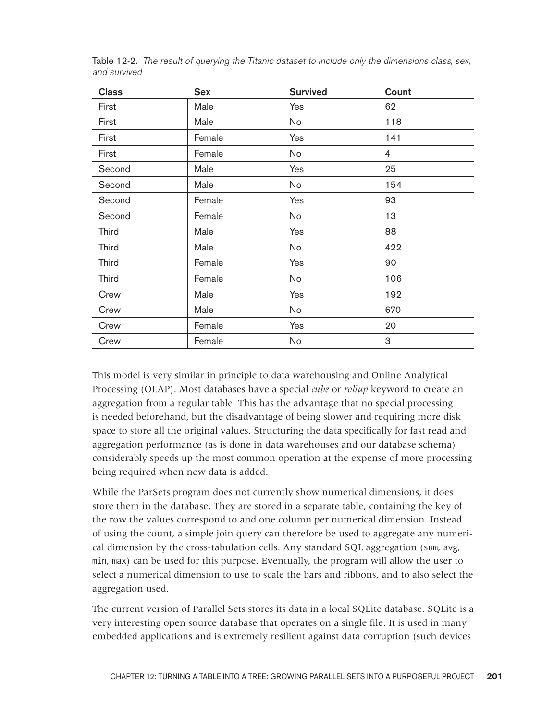| <b>Class</b> | <b>Sex</b> | <b>Survived</b> | Count |
|--------------|------------|-----------------|-------|
| First        | Male       | Yes             | 62    |
| First        | Male       | No              | 118   |
| First        | Female     | Yes             | 141   |
| First        | Female     | No              | 4     |
| Second       | Male       | Yes             | 25    |
| Second       | Male       | No              | 154   |
| Second       | Female     | Yes             | 93    |
| Second       | Female     | No              | 13    |
| Third        | Male       | Yes             | 88    |
| <b>Third</b> | Male       | No              | 422   |
| Third        | Female     | Yes             | 90    |
| Third        | Female     | No              | 106   |
| Crew         | Male       | Yes             | 192   |
| Crew         | Male       | No              | 670   |
| Crew         | Female     | Yes             | 20    |
| Crew         | Female     | No              | 3     |
|              |            |                 |       |

<span id="page-8-0"></span>Table 12-2. The result of querying the Titanic dataset to include only the dimensions class, sex, and survived

This model is very similar in principle to data warehousing and Online Analytical Processing (OLAP). Most databases have a special *cube* or *rollup* keyword to create an aggregation from a regular table. This has the advantage that no special processing is needed beforehand, but the disadvantage of being slower and requiring more disk space to store all the original values. Structuring the data specifically for fast read and aggregation performance (as is done in data warehouses and our database schema) considerably speeds up the most common operation at the expense of more processing being required when new data is added.

While the ParSets program does not currently show numerical dimensions, it does store them in the database. They are stored in a separate table, containing the key of the row the values correspond to and one column per numerical dimension. Instead of using the count, a simple join query can therefore be used to aggregate any numerical dimension by the cross-tabulation cells. Any standard SQL aggregation (sum, avg, min, max) can be used for this purpose. Eventually, the program will allow the user to select a numerical dimension to use to scale the bars and ribbons, and to also select the aggregation used.

The current version of Parallel Sets stores its data in a local SQLite database. SQLite is a very interesting open source database that operates on a single file. It is used in many embedded applications and is extremely resilient against data corruption (such devices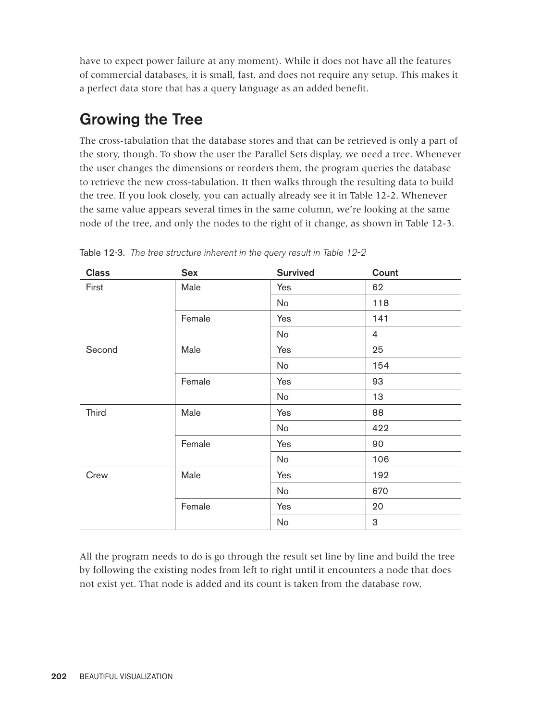have to expect power failure at any moment). While it does not have all the features of commercial databases, it is small, fast, and does not require any setup. This makes it a perfect data store that has a query language as an added benefit.

## Growing the Tree

The cross-tabulation that the database stores and that can be retrieved is only a part of the story, though. To show the user the Parallel Sets display, we need a tree. Whenever the user changes the dimensions or reorders them, the program queries the database to retrieve the new cross-tabulation. It then walks through the resulting data to build the tree. If you look closely, you can actually already see it in [Table 12-2](#page-8-0). Whenever the same value appears several times in the same column, we're looking at the same node of the tree, and only the nodes to the right of it change, as shown in [Table 12-3.](#page-9-0)

| Class  | Sex    | <b>Survived</b> | Count |
|--------|--------|-----------------|-------|
| First  | Male   | Yes             | 62    |
|        |        | No              | 118   |
|        | Female | Yes             | 141   |
|        |        | No              | 4     |
| Second | Male   | Yes             | 25    |
|        |        | No              | 154   |
|        | Female | Yes             | 93    |
|        |        | No              | 13    |
| Third  | Male   | Yes             | 88    |
|        |        | No              | 422   |
|        | Female | Yes             | 90    |
|        |        | No              | 106   |
| Crew   | Male   | Yes             | 192   |
|        |        | No              | 670   |
|        | Female | Yes             | 20    |
|        |        | No              | 3     |

<span id="page-9-0"></span>Table 12-3. The tree structure inherent in the query result in [Table 12-2](#page-8-0)

All the program needs to do is go through the result set line by line and build the tree by following the existing nodes from left to right until it encounters a node that does not exist yet. That node is added and its count is taken from the database row.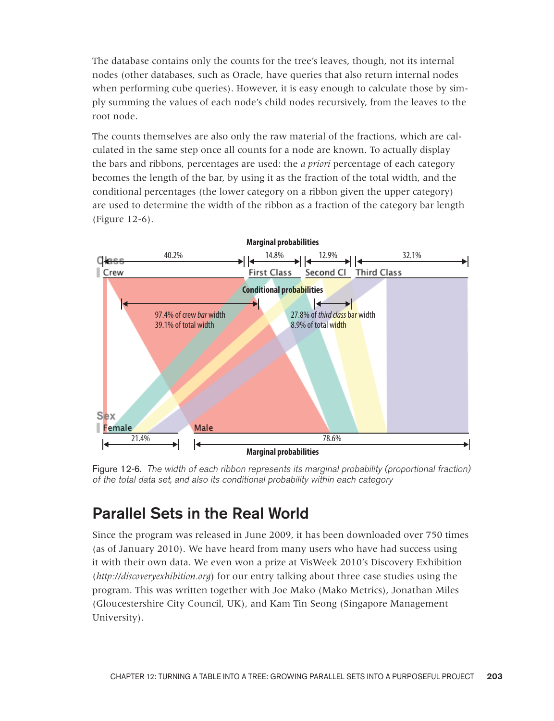The database contains only the counts for the tree's leaves, though, not its internal nodes (other databases, such as Oracle, have queries that also return internal nodes when performing cube queries). However, it is easy enough to calculate those by simply summing the values of each node's child nodes recursively, from the leaves to the root node.

The counts themselves are also only the raw material of the fractions, which are calculated in the same step once all counts for a node are known. To actually display the bars and ribbons, percentages are used: the *a priori* percentage of each category becomes the length of the bar, by using it as the fraction of the total width, and the conditional percentages (the lower category on a ribbon given the upper category) are used to determine the width of the ribbon as a fraction of the category bar length ([Figure 12-6\)](#page-10-0).



<span id="page-10-0"></span>Figure 12-6. The width of each ribbon represents its marginal probability (proportional fraction) of the total data set, and also its conditional probability within each category

#### Parallel Sets in the Real World

Since the program was released in June 2009, it has been downloaded over 750 times (as of January 2010). We have heard from many users who have had success using it with their own data. We even won a prize at VisWeek 2010's Discovery Exhibition (*<http://discoveryexhibition.org>*) for our entry talking about three case studies using the program. This was written together with Joe Mako (Mako Metrics), Jonathan Miles (Gloucestershire City Council, UK), and Kam Tin Seong (Singapore Management University).